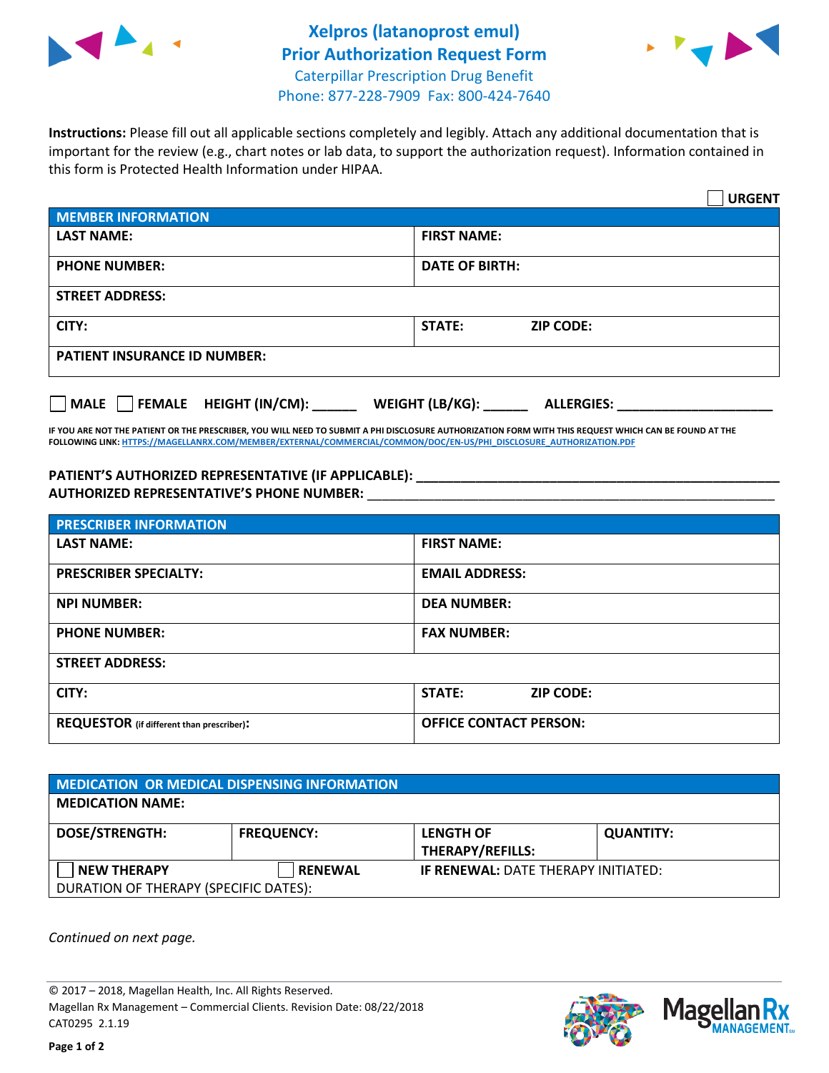



**Instructions:** Please fill out all applicable sections completely and legibly. Attach any additional documentation that is important for the review (e.g., chart notes or lab data, to support the authorization request). Information contained in this form is Protected Health Information under HIPAA.

|                                              | <b>URGENT</b>                        |  |  |  |
|----------------------------------------------|--------------------------------------|--|--|--|
| <b>MEMBER INFORMATION</b>                    |                                      |  |  |  |
| <b>LAST NAME:</b>                            | <b>FIRST NAME:</b>                   |  |  |  |
| <b>PHONE NUMBER:</b>                         | <b>DATE OF BIRTH:</b>                |  |  |  |
| <b>STREET ADDRESS:</b>                       |                                      |  |  |  |
| CITY:                                        | STATE:<br><b>ZIP CODE:</b>           |  |  |  |
| <b>PATIENT INSURANCE ID NUMBER:</b>          |                                      |  |  |  |
| $\Box$ FEMALE HEIGHT (IN/CM):<br><b>MALE</b> | WEIGHT (LB/KG):<br><b>ALLERGIES:</b> |  |  |  |

**IF YOU ARE NOT THE PATIENT OR THE PRESCRIBER, YOU WILL NEED TO SUBMIT A PHI DISCLOSURE AUTHORIZATION FORM WITH THIS REQUEST WHICH CAN BE FOUND AT THE FOLLOWING LINK[: HTTPS://MAGELLANRX.COM/MEMBER/EXTERNAL/COMMERCIAL/COMMON/DOC/EN-US/PHI\\_DISCLOSURE\\_AUTHORIZATION.PDF](https://magellanrx.com/member/external/commercial/common/doc/en-us/PHI_Disclosure_Authorization.pdf)**

**PATIENT'S AUTHORIZED REPRESENTATIVE (IF APPLICABLE): \_\_\_\_\_\_\_\_\_\_\_\_\_\_\_\_\_\_\_\_\_\_\_\_\_\_\_\_\_\_\_\_\_\_\_\_\_\_\_\_\_\_\_\_\_\_\_\_\_ AUTHORIZED REPRESENTATIVE'S PHONE NUMBER:** \_\_\_\_\_\_\_\_\_\_\_\_\_\_\_\_\_\_\_\_\_\_\_\_\_\_\_\_\_\_\_\_\_\_\_\_\_\_\_\_\_\_\_\_\_\_\_\_\_\_\_\_\_\_\_

| <b>PRESCRIBER INFORMATION</b>             |                               |  |  |  |
|-------------------------------------------|-------------------------------|--|--|--|
| <b>LAST NAME:</b>                         | <b>FIRST NAME:</b>            |  |  |  |
| <b>PRESCRIBER SPECIALTY:</b>              | <b>EMAIL ADDRESS:</b>         |  |  |  |
| <b>NPI NUMBER:</b>                        | <b>DEA NUMBER:</b>            |  |  |  |
| <b>PHONE NUMBER:</b>                      | <b>FAX NUMBER:</b>            |  |  |  |
| <b>STREET ADDRESS:</b>                    |                               |  |  |  |
| CITY:                                     | STATE:<br><b>ZIP CODE:</b>    |  |  |  |
| REQUESTOR (if different than prescriber): | <b>OFFICE CONTACT PERSON:</b> |  |  |  |

| <b>MEDICATION OR MEDICAL DISPENSING INFORMATION</b> |                   |                                            |                  |  |
|-----------------------------------------------------|-------------------|--------------------------------------------|------------------|--|
| <b>MEDICATION NAME:</b>                             |                   |                                            |                  |  |
| <b>DOSE/STRENGTH:</b>                               | <b>FREQUENCY:</b> | <b>LENGTH OF</b>                           | <b>QUANTITY:</b> |  |
|                                                     |                   | <b>THERAPY/REFILLS:</b>                    |                  |  |
| <b>NEW THERAPY</b>                                  | <b>RENEWAL</b>    | <b>IF RENEWAL: DATE THERAPY INITIATED:</b> |                  |  |
| DURATION OF THERAPY (SPECIFIC DATES):               |                   |                                            |                  |  |

*Continued on next page.*

© 2017 – 2018, Magellan Health, Inc. All Rights Reserved. Magellan Rx Management – Commercial Clients. Revision Date: 08/22/2018 CAT0295 2.1.19